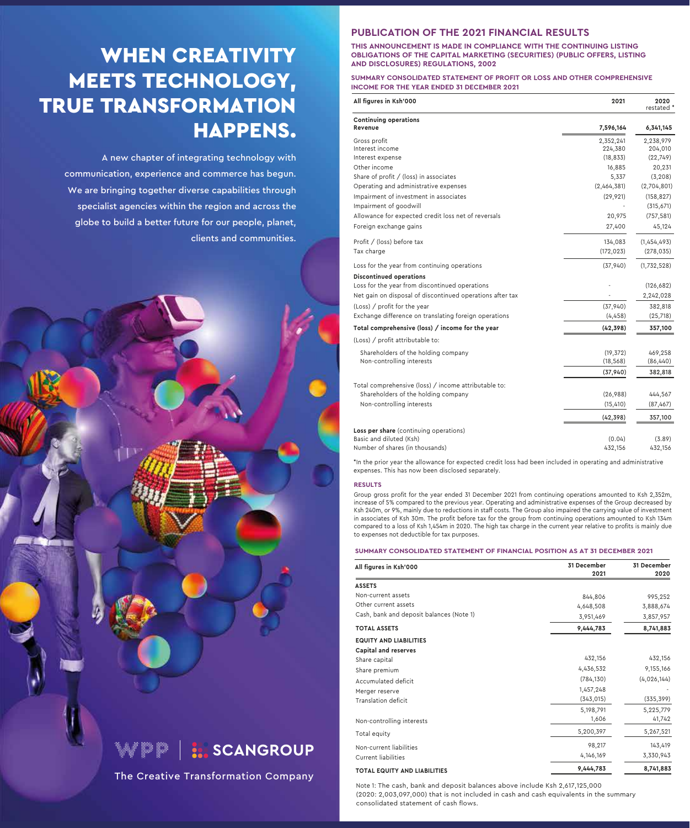## WHEN CREATIVITY MEETS TECHNOLOGY, TRUE TRANSFORMATION HAPPENS.

A new chapter of integrating technology with communication, experience and commerce has begun. We are bringing together diverse capabilities through specialist agencies within the region and across the globe to build a better future for our people, planet, clients and communities.



The Creative Transformation Company

### **PUBLICATION OF THE 2021 FINANCIAL RESULTS**

**THIS ANNOUNCEMENT IS MADE IN COMPLIANCE WITH THE CONTINUING LISTING OBLIGATIONS OF THE CAPITAL MARKETING (SECURITIES) (PUBLIC OFFERS, LISTING AND DISCLOSURES) REGULATIONS, 2002** 

**SUMMARY CONSOLIDATED STATEMENT OF PROFIT OR LOSS AND OTHER COMPREHENSIVE INCOME FOR THE YEAR ENDED 31 DECEMBER 2021**

| All figures in Ksh'000                                                          | 2021                 | 2020<br>restated *       |
|---------------------------------------------------------------------------------|----------------------|--------------------------|
| <b>Continuing operations</b><br>Revenue                                         | 7,596,164            | 6,341,145                |
| Gross profit<br>Interest income                                                 | 2,352,241<br>224,380 | 2,238,979<br>204,010     |
| Interest expense                                                                | (18, 833)            | (22, 749)                |
| Other income                                                                    | 16,885               | 20,231                   |
| Share of profit / (loss) in associates                                          | 5,337                | (3, 208)                 |
| Operating and administrative expenses<br>Impairment of investment in associates | (2,464,381)          | (2,704,801)              |
| Impairment of goodwill                                                          | (29, 921)            | (158, 827)<br>(315, 671) |
| Allowance for expected credit loss net of reversals                             | 20,975               | (757, 581)               |
| Foreign exchange gains                                                          | 27,400               | 45,124                   |
| Profit / (loss) before tax                                                      | 134,083              | (1,454,493)              |
| Tax charge                                                                      | (172, 023)           | (278, 035)               |
| Loss for the year from continuing operations                                    | (37, 940)            | (1,732,528)              |
| <b>Discontinued operations</b>                                                  |                      |                          |
| Loss for the year from discontinued operations                                  |                      | (126, 682)               |
| Net gain on disposal of discontinued operations after tax                       |                      | 2,242,028                |
| (Loss) / profit for the year                                                    | (37, 940)            | 382,818                  |
| Exchange difference on translating foreign operations                           | (4, 458)             | (25, 718)                |
| Total comprehensive (loss) / income for the year                                | (42, 398)            | 357,100                  |
| (Loss) / profit attributable to:                                                |                      |                          |
| Shareholders of the holding company                                             | (19, 372)            | 469,258                  |
| Non-controlling interests                                                       | (18, 568)            | (86, 440)                |
|                                                                                 | (37, 940)            | 382,818                  |
| Total comprehensive (loss) / income attributable to:                            |                      |                          |
| Shareholders of the holding company                                             | (26,988)             | 444,567                  |
| Non-controlling interests                                                       | (15, 410)            | (87, 467)                |
|                                                                                 | (42, 398)            | 357,100                  |
| Loss per share (continuing operations)                                          |                      |                          |
| Basic and diluted (Ksh)                                                         | (0.04)               | (3.89)                   |
| Number of shares (in thousands)                                                 | 432,156              | 432,156                  |

\*In the prior year the allowance for expected credit loss had been included in operating and administrative expenses. This has now been disclosed separately.

#### **RESULTS**

Group gross profit for the year ended 31 December 2021 from continuing operations amounted to Ksh 2,352m, increase of 5% compared to the previous year. Operating and administrative expenses of the Group decreased by Ksh 240m, or 9%, mainly due to reductions in staff costs. The Group also impaired the carrying value of investment in associates of Ksh 30m. The profit before tax for the group from continuing operations amounted to Ksh 134m compared to a loss of Ksh 1,454m in 2020. The high tax charge in the current year relative to profits is mainly due to expenses not deductible for tax purposes.

#### **SUMMARY CONSOLIDATED STATEMENT OF FINANCIAL POSITION AS AT 31 DECEMBER 2021**

| All figures in Ksh'000                   | 31 December | 31 December |  |
|------------------------------------------|-------------|-------------|--|
|                                          | 2021        | 2020        |  |
| <b>ASSETS</b>                            |             |             |  |
| Non-current assets                       | 844,806     | 995,252     |  |
| Other current assets                     | 4,648,508   | 3,888,674   |  |
| Cash, bank and deposit balances (Note 1) | 3,951,469   | 3,857,957   |  |
| <b>TOTAL ASSETS</b>                      | 9,444,783   | 8,741,883   |  |
| <b>EQUITY AND LIABILITIES</b>            |             |             |  |
| <b>Capital and reserves</b>              |             |             |  |
| Share capital                            | 432,156     | 432,156     |  |
| Share premium                            | 4,436,532   | 9,155,166   |  |
| Accumulated deficit                      | (784, 130)  | (4,026,144) |  |
| Merger reserve                           | 1,457,248   |             |  |
| Translation deficit                      | (343, 015)  | (335, 399)  |  |
|                                          | 5,198,791   | 5,225,779   |  |
| Non-controlling interests                | 1,606       | 41,742      |  |
| Total equity                             | 5,200,397   | 5,267,521   |  |
| Non-current liabilities                  | 98,217      | 143,419     |  |
| <b>Current liabilities</b>               | 4,146,169   | 3,330,943   |  |
| <b>TOTAL EQUITY AND LIABILITIES</b>      | 9,444,783   | 8,741,883   |  |

Note 1: The cash, bank and deposit balances above include Ksh 2,617,125,000 (2020: 2,003,097,000) that is not included in cash and cash equivalents in the summary consolidated statement of cash flows.